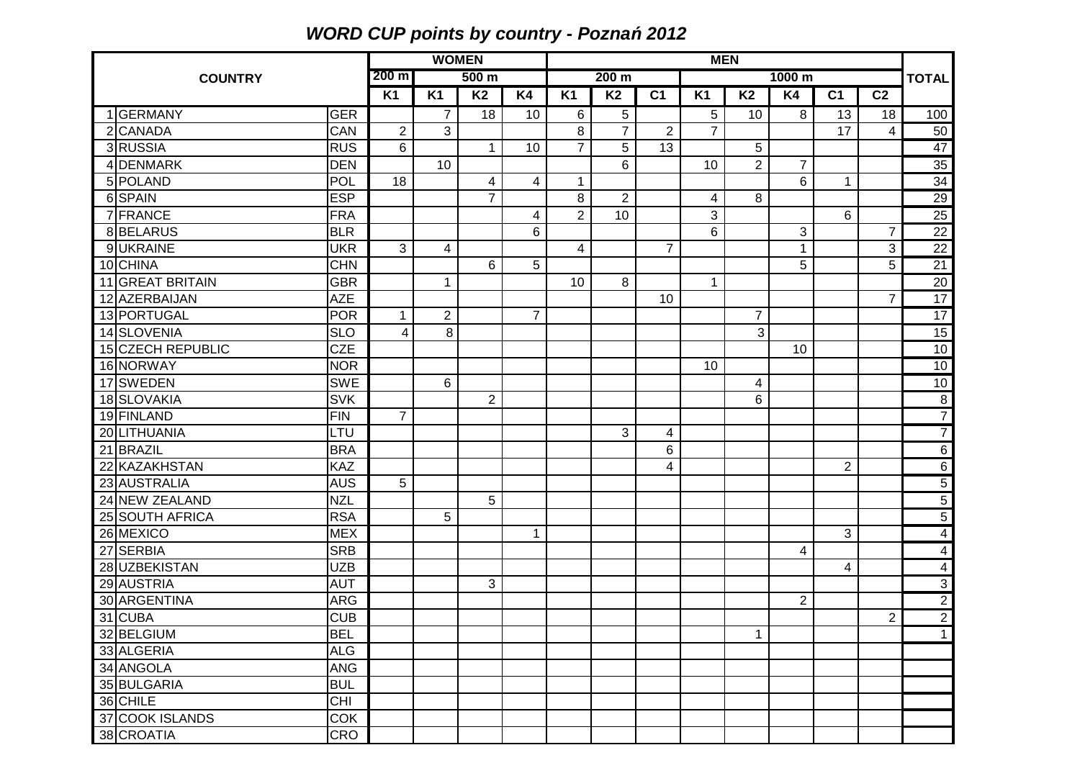## **WORD CUP points by country - Pozna***ń* **2012**

|                |                   | <b>WOMEN</b> |                                     |                |                         | <b>MEN</b>      |                         |                |                |                |                |                |                | <b>TOTAL</b>   |                 |
|----------------|-------------------|--------------|-------------------------------------|----------------|-------------------------|-----------------|-------------------------|----------------|----------------|----------------|----------------|----------------|----------------|----------------|-----------------|
| <b>COUNTRY</b> |                   |              | $200 \text{ m}$<br>500 <sub>m</sub> |                |                         | 200 m<br>1000 m |                         |                |                |                |                |                |                |                |                 |
|                |                   |              | <b>K1</b>                           | <b>K1</b>      | <b>K2</b>               | <b>K4</b>       | <b>K1</b>               | <b>K2</b>      | C <sub>1</sub> | <b>K1</b>      | <b>K2</b>      | <b>K4</b>      | C <sub>1</sub> | C <sub>2</sub> |                 |
|                | 1 GERMANY         | <b>GER</b>   |                                     | 7              | 18                      | 10              | 6                       | 5              |                | 5              | 10             | 8              | 13             | 18             | 100             |
|                | 2 CANADA          | CAN          | $\overline{2}$                      | 3              |                         |                 | 8                       | $\overline{7}$ | $\overline{2}$ | $\overline{7}$ |                |                | 17             | $\overline{4}$ | 50              |
|                | 3RUSSIA           | <b>RUS</b>   | 6                                   |                | $\mathbf{1}$            | 10              | $\overline{7}$          | $\overline{5}$ | 13             |                | 5              |                |                |                | 47              |
|                | 4 DENMARK         | <b>DEN</b>   |                                     | 10             |                         |                 |                         | 6              |                | 10             | $\overline{2}$ | $\overline{7}$ |                |                | 35              |
|                | 5 POLAND          | <b>POL</b>   | 18                                  |                | $\overline{\mathbf{4}}$ | 4               | $\mathbf{1}$            |                |                |                |                | $6\phantom{1}$ | $\mathbf{1}$   |                | 34              |
|                | 6SPAIN            | <b>ESP</b>   |                                     |                | $\overline{7}$          |                 | 8                       | $\overline{2}$ |                | 4              | 8              |                |                |                | 29              |
|                | 7 FRANCE          | <b>FRA</b>   |                                     |                |                         | 4               | $\overline{2}$          | 10             |                | 3              |                |                | 6              |                | 25              |
|                | 8BELARUS          | <b>BLR</b>   |                                     |                |                         | 6               |                         |                |                | 6              |                | $\mathbf{3}$   |                | $\overline{7}$ | $\overline{22}$ |
|                | 9UKRAINE          | <b>UKR</b>   | 3                                   | 4              |                         |                 | $\overline{\mathbf{4}}$ |                | $\overline{7}$ |                |                | 1              |                | 3              | $\overline{22}$ |
|                | 10 CHINA          | <b>CHN</b>   |                                     |                | 6                       | 5               |                         |                |                |                |                | 5              |                | 5              | 21              |
|                | 11 GREAT BRITAIN  | <b>GBR</b>   |                                     | 1              |                         |                 | 10                      | 8              |                | 1              |                |                |                |                | $\frac{20}{17}$ |
|                | 12 AZERBAIJAN     | <b>AZE</b>   |                                     |                |                         |                 |                         |                | 10             |                |                |                |                | $\overline{7}$ |                 |
|                | 13 PORTUGAL       | <b>POR</b>   | $\mathbf{1}$                        | $\overline{2}$ |                         | $\overline{7}$  |                         |                |                |                | 7              |                |                |                | $\overline{17}$ |
|                | 14 SLOVENIA       | <b>SLO</b>   | 4                                   | 8              |                         |                 |                         |                |                |                | 3              |                |                |                | 15              |
|                | 15 CZECH REPUBLIC | <b>CZE</b>   |                                     |                |                         |                 |                         |                |                |                |                | 10             |                |                | 10              |
|                | 16 NORWAY         | <b>NOR</b>   |                                     |                |                         |                 |                         |                |                | 10             |                |                |                |                | 10              |
|                | 17 SWEDEN         | <b>SWE</b>   |                                     | 6              |                         |                 |                         |                |                |                | 4              |                |                |                | 10              |
|                | 18 SLOVAKIA       | <b>SVK</b>   |                                     |                | $\overline{2}$          |                 |                         |                |                |                | 6              |                |                |                | $\sqrt{8}$      |
|                | 19 FINLAND        | <b>FIN</b>   | $\overline{7}$                      |                |                         |                 |                         |                |                |                |                |                |                |                | $\overline{7}$  |
|                | 20 LITHUANIA      | LTU          |                                     |                |                         |                 |                         | 3              | 4              |                |                |                |                |                | $\overline{7}$  |
|                | 21 BRAZIL         | <b>BRA</b>   |                                     |                |                         |                 |                         |                | 6              |                |                |                |                |                | $6\overline{6}$ |
|                | 22 KAZAKHSTAN     | KAZ          |                                     |                |                         |                 |                         |                | 4              |                |                |                | $\overline{2}$ |                | $6\overline{6}$ |
|                | 23 AUSTRALIA      | <b>AUS</b>   | 5                                   |                |                         |                 |                         |                |                |                |                |                |                |                | $\overline{5}$  |
|                | 24 NEW ZEALAND    | <b>NZL</b>   |                                     |                | 5                       |                 |                         |                |                |                |                |                |                |                | $\overline{5}$  |
|                | 25 SOUTH AFRICA   | <b>RSA</b>   |                                     | 5              |                         |                 |                         |                |                |                |                |                |                |                | $\overline{5}$  |
|                | 26 MEXICO         | <b>MEX</b>   |                                     |                |                         | 1               |                         |                |                |                |                |                | 3              |                | $\overline{4}$  |
|                | 27 SERBIA         | <b>SRB</b>   |                                     |                |                         |                 |                         |                |                |                |                | 4              |                |                | $\overline{4}$  |
|                | 28 UZBEKISTAN     | <b>UZB</b>   |                                     |                |                         |                 |                         |                |                |                |                |                | 4              |                | $\overline{4}$  |
|                | 29 AUSTRIA        | <b>AUT</b>   |                                     |                | 3                       |                 |                         |                |                |                |                |                |                |                | $\overline{3}$  |
|                | 30 ARGENTINA      | <b>ARG</b>   |                                     |                |                         |                 |                         |                |                |                |                | $\overline{2}$ |                |                | $\frac{2}{2}$   |
|                | 31 CUBA           | <b>CUB</b>   |                                     |                |                         |                 |                         |                |                |                |                |                |                | $\overline{2}$ |                 |
|                | 32 BELGIUM        | <b>BEL</b>   |                                     |                |                         |                 |                         |                |                |                | $\mathbf{1}$   |                |                |                | $\mathbf{1}$    |
|                | 33 ALGERIA        | <b>ALG</b>   |                                     |                |                         |                 |                         |                |                |                |                |                |                |                |                 |
|                | 34 ANGOLA         | <b>ANG</b>   |                                     |                |                         |                 |                         |                |                |                |                |                |                |                |                 |
|                | 35 BULGARIA       | <b>BUL</b>   |                                     |                |                         |                 |                         |                |                |                |                |                |                |                |                 |
|                | 36 CHILE          | <b>CHI</b>   |                                     |                |                         |                 |                         |                |                |                |                |                |                |                |                 |
|                | 37 COOK ISLANDS   | COK          |                                     |                |                         |                 |                         |                |                |                |                |                |                |                |                 |
|                | 38 CROATIA        | CRO          |                                     |                |                         |                 |                         |                |                |                |                |                |                |                |                 |